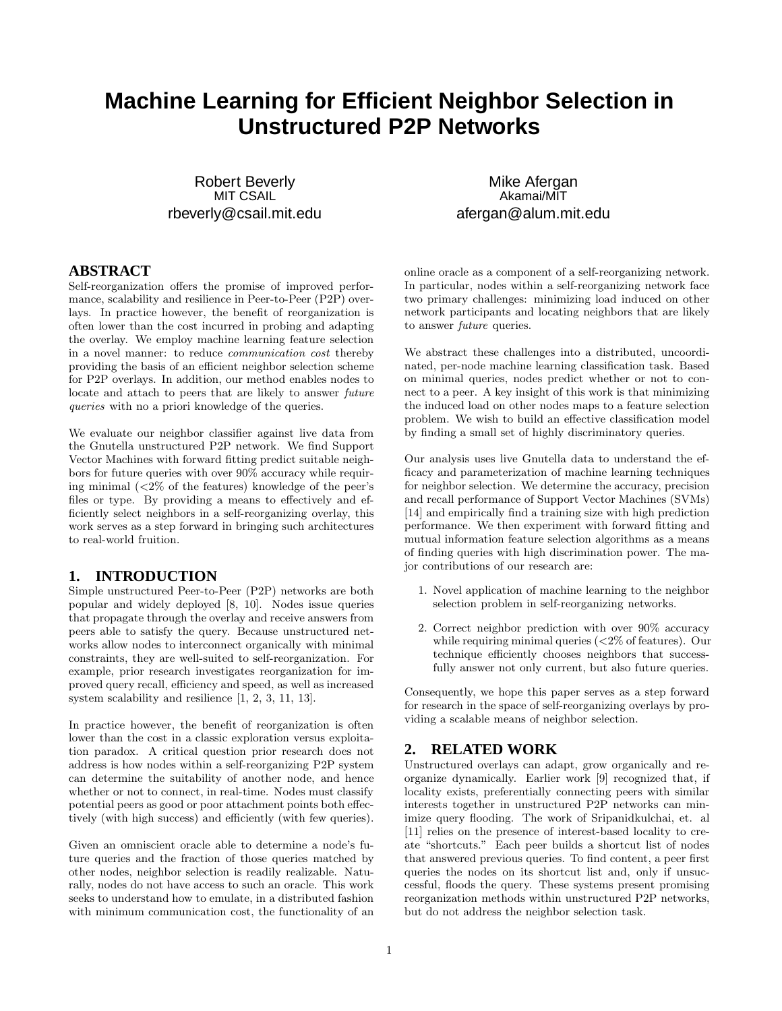# **Machine Learning for Efficient Neighbor Selection in Unstructured P2P Networks**

Robert Beverly MIT CSAIL rbeverly@csail.mit.edu

# **ABSTRACT**

Self-reorganization offers the promise of improved performance, scalability and resilience in Peer-to-Peer (P2P) overlays. In practice however, the benefit of reorganization is often lower than the cost incurred in probing and adapting the overlay. We employ machine learning feature selection in a novel manner: to reduce communication cost thereby providing the basis of an efficient neighbor selection scheme for P2P overlays. In addition, our method enables nodes to locate and attach to peers that are likely to answer future queries with no a priori knowledge of the queries.

We evaluate our neighbor classifier against live data from the Gnutella unstructured P2P network. We find Support Vector Machines with forward fitting predict suitable neighbors for future queries with over 90% accuracy while requiring minimal (<2% of the features) knowledge of the peer's files or type. By providing a means to effectively and efficiently select neighbors in a self-reorganizing overlay, this work serves as a step forward in bringing such architectures to real-world fruition.

# **1. INTRODUCTION**

Simple unstructured Peer-to-Peer (P2P) networks are both popular and widely deployed [8, 10]. Nodes issue queries that propagate through the overlay and receive answers from peers able to satisfy the query. Because unstructured networks allow nodes to interconnect organically with minimal constraints, they are well-suited to self-reorganization. For example, prior research investigates reorganization for improved query recall, efficiency and speed, as well as increased system scalability and resilience [1, 2, 3, 11, 13].

In practice however, the benefit of reorganization is often lower than the cost in a classic exploration versus exploitation paradox. A critical question prior research does not address is how nodes within a self-reorganizing P2P system can determine the suitability of another node, and hence whether or not to connect, in real-time. Nodes must classify potential peers as good or poor attachment points both effectively (with high success) and efficiently (with few queries).

Given an omniscient oracle able to determine a node's future queries and the fraction of those queries matched by other nodes, neighbor selection is readily realizable. Naturally, nodes do not have access to such an oracle. This work seeks to understand how to emulate, in a distributed fashion with minimum communication cost, the functionality of an

Mike Afergan Akamai/MIT afergan@alum.mit.edu

online oracle as a component of a self-reorganizing network. In particular, nodes within a self-reorganizing network face two primary challenges: minimizing load induced on other network participants and locating neighbors that are likely to answer future queries.

We abstract these challenges into a distributed, uncoordinated, per-node machine learning classification task. Based on minimal queries, nodes predict whether or not to connect to a peer. A key insight of this work is that minimizing the induced load on other nodes maps to a feature selection problem. We wish to build an effective classification model by finding a small set of highly discriminatory queries.

Our analysis uses live Gnutella data to understand the efficacy and parameterization of machine learning techniques for neighbor selection. We determine the accuracy, precision and recall performance of Support Vector Machines (SVMs) [14] and empirically find a training size with high prediction performance. We then experiment with forward fitting and mutual information feature selection algorithms as a means of finding queries with high discrimination power. The major contributions of our research are:

- 1. Novel application of machine learning to the neighbor selection problem in self-reorganizing networks.
- 2. Correct neighbor prediction with over 90% accuracy while requiring minimal queries (<2% of features). Our technique efficiently chooses neighbors that successfully answer not only current, but also future queries.

Consequently, we hope this paper serves as a step forward for research in the space of self-reorganizing overlays by providing a scalable means of neighbor selection.

# **2. RELATED WORK**

Unstructured overlays can adapt, grow organically and reorganize dynamically. Earlier work [9] recognized that, if locality exists, preferentially connecting peers with similar interests together in unstructured P2P networks can minimize query flooding. The work of Sripanidkulchai, et. al [11] relies on the presence of interest-based locality to create "shortcuts." Each peer builds a shortcut list of nodes that answered previous queries. To find content, a peer first queries the nodes on its shortcut list and, only if unsuccessful, floods the query. These systems present promising reorganization methods within unstructured P2P networks, but do not address the neighbor selection task.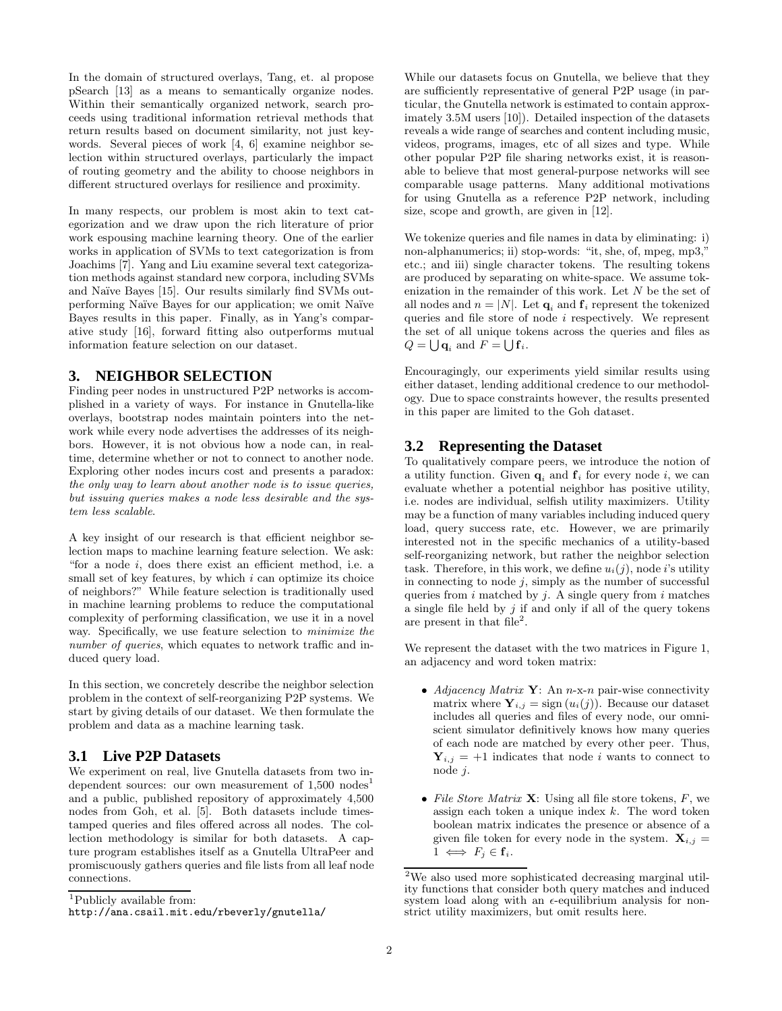In the domain of structured overlays, Tang, et. al propose pSearch [13] as a means to semantically organize nodes. Within their semantically organized network, search proceeds using traditional information retrieval methods that return results based on document similarity, not just keywords. Several pieces of work [4, 6] examine neighbor selection within structured overlays, particularly the impact of routing geometry and the ability to choose neighbors in different structured overlays for resilience and proximity.

In many respects, our problem is most akin to text categorization and we draw upon the rich literature of prior work espousing machine learning theory. One of the earlier works in application of SVMs to text categorization is from Joachims [7]. Yang and Liu examine several text categorization methods against standard new corpora, including SVMs and Naïve Bayes [15]. Our results similarly find SVMs outperforming Naïve Bayes for our application; we omit Naïve Bayes results in this paper. Finally, as in Yang's comparative study [16], forward fitting also outperforms mutual information feature selection on our dataset.

# **3. NEIGHBOR SELECTION**

Finding peer nodes in unstructured P2P networks is accomplished in a variety of ways. For instance in Gnutella-like overlays, bootstrap nodes maintain pointers into the network while every node advertises the addresses of its neighbors. However, it is not obvious how a node can, in realtime, determine whether or not to connect to another node. Exploring other nodes incurs cost and presents a paradox: the only way to learn about another node is to issue queries, but issuing queries makes a node less desirable and the system less scalable.

A key insight of our research is that efficient neighbor selection maps to machine learning feature selection. We ask: "for a node i, does there exist an efficient method, i.e. a small set of key features, by which  $i$  can optimize its choice of neighbors?" While feature selection is traditionally used in machine learning problems to reduce the computational complexity of performing classification, we use it in a novel way. Specifically, we use feature selection to minimize the number of queries, which equates to network traffic and induced query load.

In this section, we concretely describe the neighbor selection problem in the context of self-reorganizing P2P systems. We start by giving details of our dataset. We then formulate the problem and data as a machine learning task.

# **3.1 Live P2P Datasets**

We experiment on real, live Gnutella datasets from two independent sources: our own measurement of  $1,500$  nodes<sup>1</sup> and a public, published repository of approximately 4,500 nodes from Goh, et al. [5]. Both datasets include timestamped queries and files offered across all nodes. The collection methodology is similar for both datasets. A capture program establishes itself as a Gnutella UltraPeer and promiscuously gathers queries and file lists from all leaf node connections.

While our datasets focus on Gnutella, we believe that they are sufficiently representative of general P2P usage (in particular, the Gnutella network is estimated to contain approximately 3.5M users [10]). Detailed inspection of the datasets reveals a wide range of searches and content including music, videos, programs, images, etc of all sizes and type. While other popular P2P file sharing networks exist, it is reasonable to believe that most general-purpose networks will see comparable usage patterns. Many additional motivations for using Gnutella as a reference P2P network, including size, scope and growth, are given in [12].

We tokenize queries and file names in data by eliminating: i) non-alphanumerics; ii) stop-words: "it, she, of, mpeg, mp3," etc.; and iii) single character tokens. The resulting tokens are produced by separating on white-space. We assume tokenization in the remainder of this work. Let N be the set of all nodes and  $n = |N|$ . Let  $\mathbf{q}_i$  and  $\mathbf{f}_i$  represent the tokenized queries and file store of node  $i$  respectively. We represent the set of all unique tokens across the queries and files as  $Q = \bigcup \mathbf{q}_i$  and  $F = \bigcup \mathbf{f}_i$ .

Encouragingly, our experiments yield similar results using either dataset, lending additional credence to our methodology. Due to space constraints however, the results presented in this paper are limited to the Goh dataset.

# **3.2 Representing the Dataset**

To qualitatively compare peers, we introduce the notion of a utility function. Given  $\mathbf{q}_i$  and  $\mathbf{f}_i$  for every node i, we can evaluate whether a potential neighbor has positive utility, i.e. nodes are individual, selfish utility maximizers. Utility may be a function of many variables including induced query load, query success rate, etc. However, we are primarily interested not in the specific mechanics of a utility-based self-reorganizing network, but rather the neighbor selection task. Therefore, in this work, we define  $u_i(j)$ , node i's utility in connecting to node  $j$ , simply as the number of successful queries from  $i$  matched by  $j$ . A single query from  $i$  matches a single file held by  $j$  if and only if all of the query tokens are present in that  $file^2$ .

We represent the dataset with the two matrices in Figure 1, an adjacency and word token matrix:

- Adjacency Matrix  $\mathbf{Y}$ : An n-x-n pair-wise connectivity matrix where  $Y_{i,j} = \text{sign}(u_i(j))$ . Because our dataset includes all queries and files of every node, our omniscient simulator definitively knows how many queries of each node are matched by every other peer. Thus,  $Y_{i,j} = +1$  indicates that node i wants to connect to node j.
- File Store Matrix  $X$ : Using all file store tokens,  $F$ , we assign each token a unique index  $k$ . The word token boolean matrix indicates the presence or absence of a given file token for every node in the system.  $X_{i,j} =$  $1 \iff F_i \in \mathbf{f}_i$ .

<sup>&</sup>lt;sup>1</sup>Publicly available from:

http://ana.csail.mit.edu/rbeverly/gnutella/

<sup>2</sup>We also used more sophisticated decreasing marginal utility functions that consider both query matches and induced system load along with an  $\epsilon$ -equilibrium analysis for nonstrict utility maximizers, but omit results here.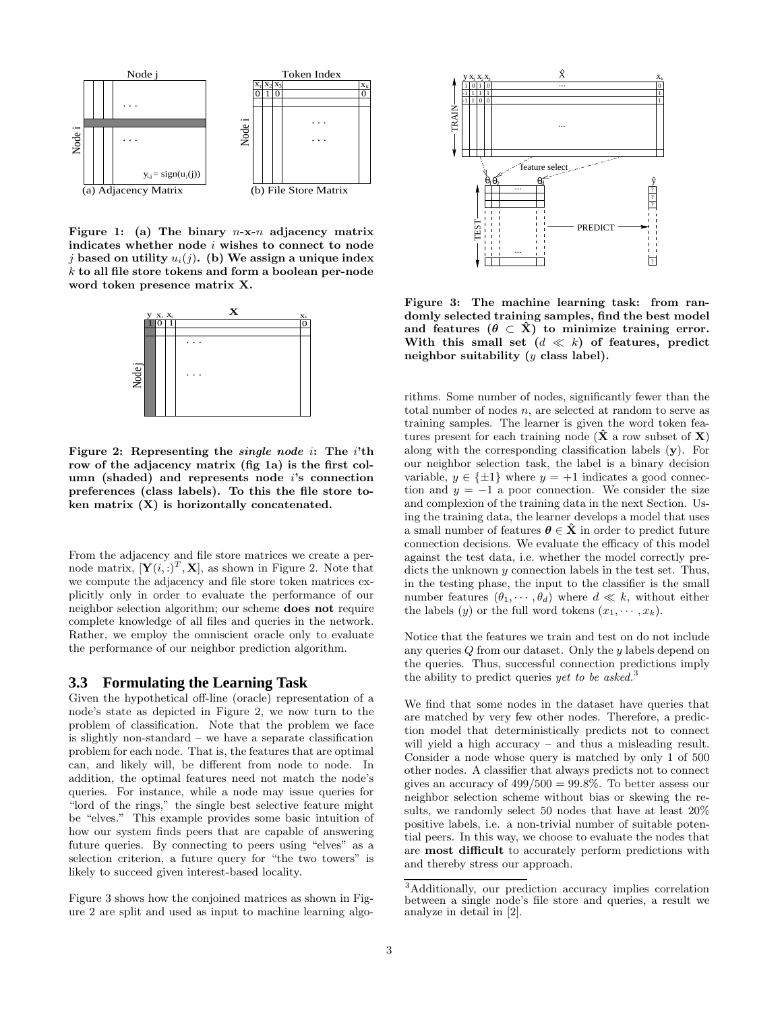

Figure 1: (a) The binary  $n-x-n$  adjacency matrix indicates whether node  $i$  wishes to connect to node j based on utility  $u_i(j)$ . (b) We assign a unique index k to all file store tokens and form a boolean per-node word token presence matrix X.



Figure 2: Representing the *single node* i: The *i*'th row of the adjacency matrix (fig 1a) is the first column (shaded) and represents node i's connection preferences (class labels). To this the file store token matrix  $(X)$  is horizontally concatenated.

From the adjacency and file store matrices we create a pernode matrix,  $[\mathbf{Y}(i,:)^T, \mathbf{X}]$ , as shown in Figure 2. Note that we compute the adjacency and file store token matrices explicitly only in order to evaluate the performance of our neighbor selection algorithm; our scheme does not require complete knowledge of all files and queries in the network. Rather, we employ the omniscient oracle only to evaluate the performance of our neighbor prediction algorithm.

### **3.3 Formulating the Learning Task**

Given the hypothetical off-line (oracle) representation of a node's state as depicted in Figure 2, we now turn to the problem of classification. Note that the problem we face is slightly non-standard – we have a separate classification problem for each node. That is, the features that are optimal can, and likely will, be different from node to node. In addition, the optimal features need not match the node's queries. For instance, while a node may issue queries for "lord of the rings," the single best selective feature might be "elves." This example provides some basic intuition of how our system finds peers that are capable of answering future queries. By connecting to peers using "elves" as a selection criterion, a future query for "the two towers" is likely to succeed given interest-based locality.

Figure 3 shows how the conjoined matrices as shown in Figure 2 are split and used as input to machine learning algo-



Figure 3: The machine learning task: from randomly selected training samples, find the best model and features  $(\theta \subset \hat{X})$  to minimize training error. With this small set  $(d \ll k)$  of features, predict neighbor suitability  $(y \text{ class label}).$ 

rithms. Some number of nodes, significantly fewer than the total number of nodes n, are selected at random to serve as training samples. The learner is given the word token features present for each training node  $(\hat{\mathbf{X}})$  a row subset of  $\mathbf{X}$ ) along with the corresponding classification labels (y). For our neighbor selection task, the label is a binary decision variable,  $y \in {\pm 1}$  where  $y = +1$  indicates a good connection and  $y = -1$  a poor connection. We consider the size and complexion of the training data in the next Section. Using the training data, the learner develops a model that uses a small number of features  $\theta \in \hat{X}$  in order to predict future connection decisions. We evaluate the efficacy of this model against the test data, i.e. whether the model correctly predicts the unknown y connection labels in the test set. Thus, in the testing phase, the input to the classifier is the small number features  $(\theta_1, \dots, \theta_d)$  where  $d \ll k$ , without either the labels  $(y)$  or the full word tokens  $(x_1, \dots, x_k)$ .

Notice that the features we train and test on do not include any queries Q from our dataset. Only the y labels depend on the queries. Thus, successful connection predictions imply the ability to predict queries yet to be asked.<sup>3</sup>

We find that some nodes in the dataset have queries that are matched by very few other nodes. Therefore, a prediction model that deterministically predicts not to connect will yield a high accuracy – and thus a misleading result. Consider a node whose query is matched by only 1 of 500 other nodes. A classifier that always predicts not to connect gives an accuracy of  $499/500 = 99.8\%$ . To better assess our neighbor selection scheme without bias or skewing the results, we randomly select 50 nodes that have at least 20% positive labels, i.e. a non-trivial number of suitable potential peers. In this way, we choose to evaluate the nodes that are most difficult to accurately perform predictions with and thereby stress our approach.

<sup>3</sup>Additionally, our prediction accuracy implies correlation between a single node's file store and queries, a result we analyze in detail in [2].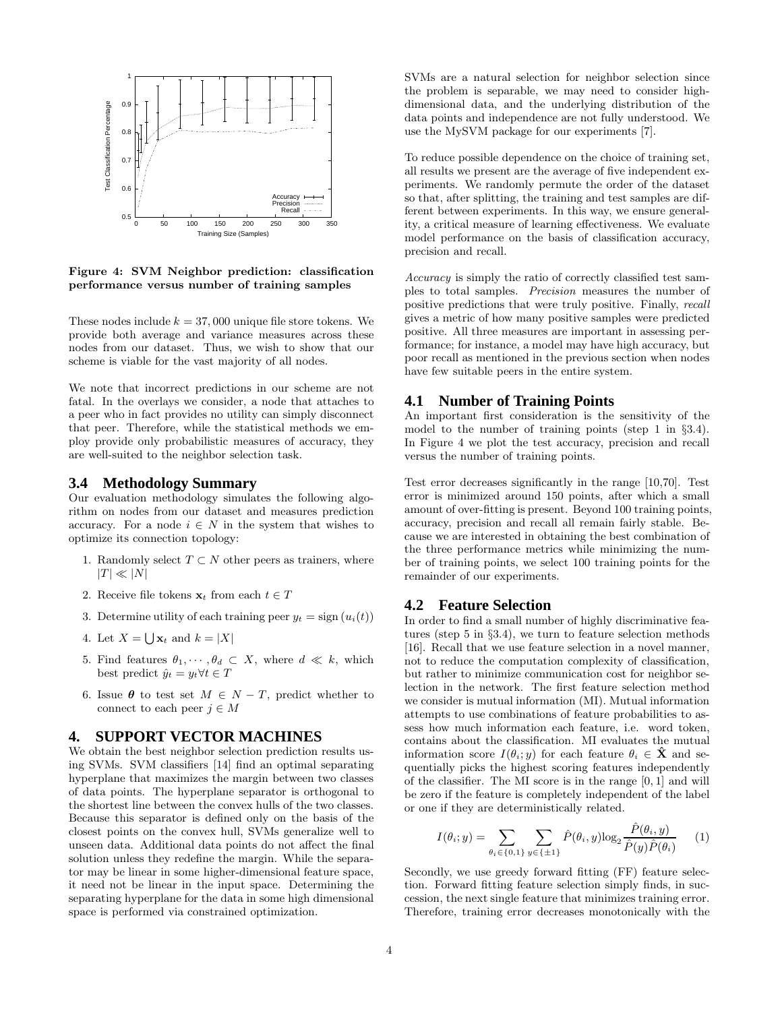

Figure 4: SVM Neighbor prediction: classification performance versus number of training samples

These nodes include  $k = 37,000$  unique file store tokens. We provide both average and variance measures across these nodes from our dataset. Thus, we wish to show that our scheme is viable for the vast majority of all nodes.

We note that incorrect predictions in our scheme are not fatal. In the overlays we consider, a node that attaches to a peer who in fact provides no utility can simply disconnect that peer. Therefore, while the statistical methods we employ provide only probabilistic measures of accuracy, they are well-suited to the neighbor selection task.

#### **3.4 Methodology Summary**

Our evaluation methodology simulates the following algorithm on nodes from our dataset and measures prediction accuracy. For a node  $i \in N$  in the system that wishes to optimize its connection topology:

- 1. Randomly select  $T \subset N$  other peers as trainers, where  $|T| \ll |N|$
- 2. Receive file tokens  $\mathbf{x}_t$  from each  $t \in T$
- 3. Determine utility of each training peer  $y_t = \text{sign}(u_i(t))$
- 4. Let  $X = \bigcup \mathbf{x}_t$  and  $k = |X|$
- 5. Find features  $\theta_1, \dots, \theta_d \subset X$ , where  $d \ll k$ , which best predict  $\hat{y}_t = y_t \forall t \in T$
- 6. Issue  $\theta$  to test set  $M \in N T$ , predict whether to connect to each peer  $j \in M$

# **4. SUPPORT VECTOR MACHINES**

We obtain the best neighbor selection prediction results using SVMs. SVM classifiers [14] find an optimal separating hyperplane that maximizes the margin between two classes of data points. The hyperplane separator is orthogonal to the shortest line between the convex hulls of the two classes. Because this separator is defined only on the basis of the closest points on the convex hull, SVMs generalize well to unseen data. Additional data points do not affect the final solution unless they redefine the margin. While the separator may be linear in some higher-dimensional feature space, it need not be linear in the input space. Determining the separating hyperplane for the data in some high dimensional space is performed via constrained optimization.

SVMs are a natural selection for neighbor selection since the problem is separable, we may need to consider highdimensional data, and the underlying distribution of the data points and independence are not fully understood. We use the MySVM package for our experiments [7].

To reduce possible dependence on the choice of training set, all results we present are the average of five independent experiments. We randomly permute the order of the dataset so that, after splitting, the training and test samples are different between experiments. In this way, we ensure generality, a critical measure of learning effectiveness. We evaluate model performance on the basis of classification accuracy, precision and recall.

Accuracy is simply the ratio of correctly classified test samples to total samples. Precision measures the number of positive predictions that were truly positive. Finally, recall gives a metric of how many positive samples were predicted positive. All three measures are important in assessing performance; for instance, a model may have high accuracy, but poor recall as mentioned in the previous section when nodes have few suitable peers in the entire system.

# **4.1 Number of Training Points**

An important first consideration is the sensitivity of the model to the number of training points (step 1 in §3.4). In Figure 4 we plot the test accuracy, precision and recall versus the number of training points.

Test error decreases significantly in the range [10,70]. Test error is minimized around 150 points, after which a small amount of over-fitting is present. Beyond 100 training points, accuracy, precision and recall all remain fairly stable. Because we are interested in obtaining the best combination of the three performance metrics while minimizing the number of training points, we select 100 training points for the remainder of our experiments.

### **4.2 Feature Selection**

In order to find a small number of highly discriminative features (step 5 in §3.4), we turn to feature selection methods [16]. Recall that we use feature selection in a novel manner, not to reduce the computation complexity of classification, but rather to minimize communication cost for neighbor selection in the network. The first feature selection method we consider is mutual information (MI). Mutual information attempts to use combinations of feature probabilities to assess how much information each feature, i.e. word token, contains about the classification. MI evaluates the mutual information score  $I(\theta_i; y)$  for each feature  $\theta_i \in \mathbf{X}$  and sequentially picks the highest scoring features independently of the classifier. The MI score is in the range [0, 1] and will be zero if the feature is completely independent of the label or one if they are deterministically related.

$$
I(\theta_i; y) = \sum_{\theta_i \in \{0, 1\}} \sum_{y \in \{\pm 1\}} \hat{P}(\theta_i, y) \log_2 \frac{\hat{P}(\theta_i, y)}{\hat{P}(y) \hat{P}(\theta_i)} \tag{1}
$$

Secondly, we use greedy forward fitting (FF) feature selection. Forward fitting feature selection simply finds, in succession, the next single feature that minimizes training error. Therefore, training error decreases monotonically with the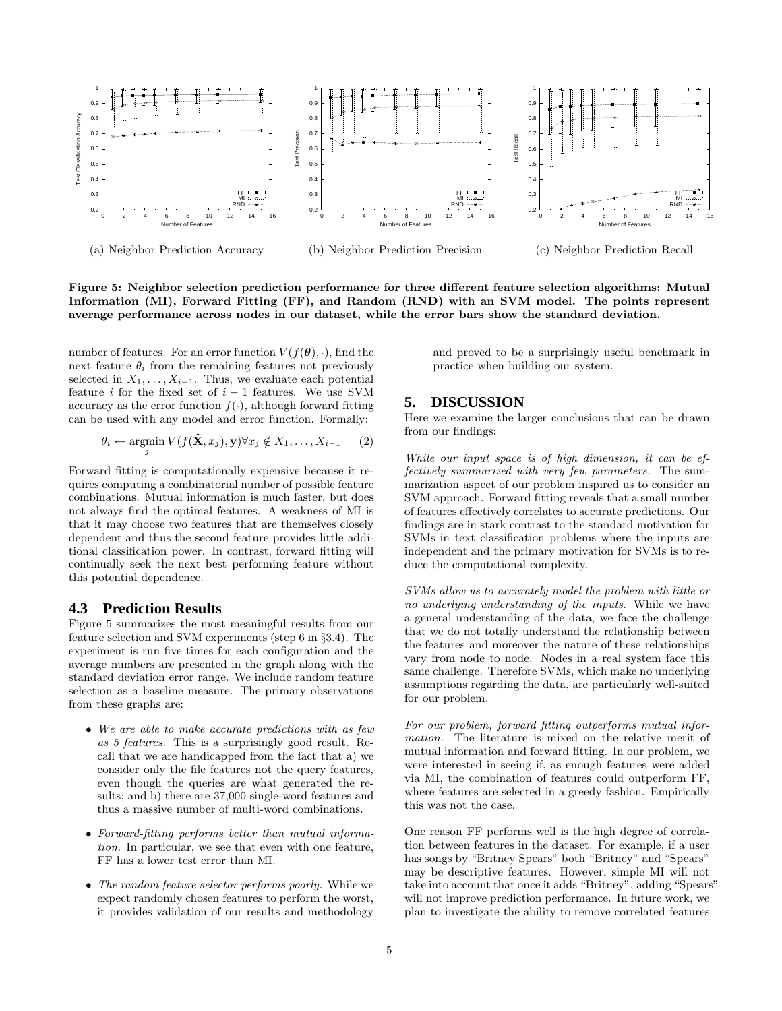

Figure 5: Neighbor selection prediction performance for three different feature selection algorithms: Mutual Information (MI), Forward Fitting (FF), and Random (RND) with an SVM model. The points represent average performance across nodes in our dataset, while the error bars show the standard deviation.

number of features. For an error function  $V(f(\theta),\cdot)$ , find the next feature  $\theta_i$  from the remaining features not previously selected in  $X_1, \ldots, X_{i-1}$ . Thus, we evaluate each potential feature  $i$  for the fixed set of  $i - 1$  features. We use SVM accuracy as the error function  $f(\cdot)$ , although forward fitting can be used with any model and error function. Formally:

$$
\theta_i \leftarrow \operatorname*{argmin}_{j} V(f(\mathbf{\hat{X}}, x_j), \mathbf{y}) \forall x_j \notin X_1, \dots, X_{i-1} \qquad (2)
$$

Forward fitting is computationally expensive because it requires computing a combinatorial number of possible feature combinations. Mutual information is much faster, but does not always find the optimal features. A weakness of MI is that it may choose two features that are themselves closely dependent and thus the second feature provides little additional classification power. In contrast, forward fitting will continually seek the next best performing feature without this potential dependence.

## **4.3 Prediction Results**

Figure 5 summarizes the most meaningful results from our feature selection and SVM experiments (step 6 in §3.4). The experiment is run five times for each configuration and the average numbers are presented in the graph along with the standard deviation error range. We include random feature selection as a baseline measure. The primary observations from these graphs are:

- We are able to make accurate predictions with as few as 5 features. This is a surprisingly good result. Recall that we are handicapped from the fact that a) we consider only the file features not the query features, even though the queries are what generated the results; and b) there are 37,000 single-word features and thus a massive number of multi-word combinations.
- Forward-fitting performs better than mutual information. In particular, we see that even with one feature, FF has a lower test error than MI.
- The random feature selector performs poorly. While we expect randomly chosen features to perform the worst, it provides validation of our results and methodology

and proved to be a surprisingly useful benchmark in practice when building our system.

# **5. DISCUSSION**

Here we examine the larger conclusions that can be drawn from our findings:

While our input space is of high dimension, it can be effectively summarized with very few parameters. The summarization aspect of our problem inspired us to consider an SVM approach. Forward fitting reveals that a small number of features effectively correlates to accurate predictions. Our findings are in stark contrast to the standard motivation for SVMs in text classification problems where the inputs are independent and the primary motivation for SVMs is to reduce the computational complexity.

SVMs allow us to accurately model the problem with little or no underlying understanding of the inputs. While we have a general understanding of the data, we face the challenge that we do not totally understand the relationship between the features and moreover the nature of these relationships vary from node to node. Nodes in a real system face this same challenge. Therefore SVMs, which make no underlying assumptions regarding the data, are particularly well-suited for our problem.

For our problem, forward fitting outperforms mutual information. The literature is mixed on the relative merit of mutual information and forward fitting. In our problem, we were interested in seeing if, as enough features were added via MI, the combination of features could outperform FF, where features are selected in a greedy fashion. Empirically this was not the case.

One reason FF performs well is the high degree of correlation between features in the dataset. For example, if a user has songs by "Britney Spears" both "Britney" and "Spears" may be descriptive features. However, simple MI will not take into account that once it adds "Britney", adding "Spears" will not improve prediction performance. In future work, we plan to investigate the ability to remove correlated features